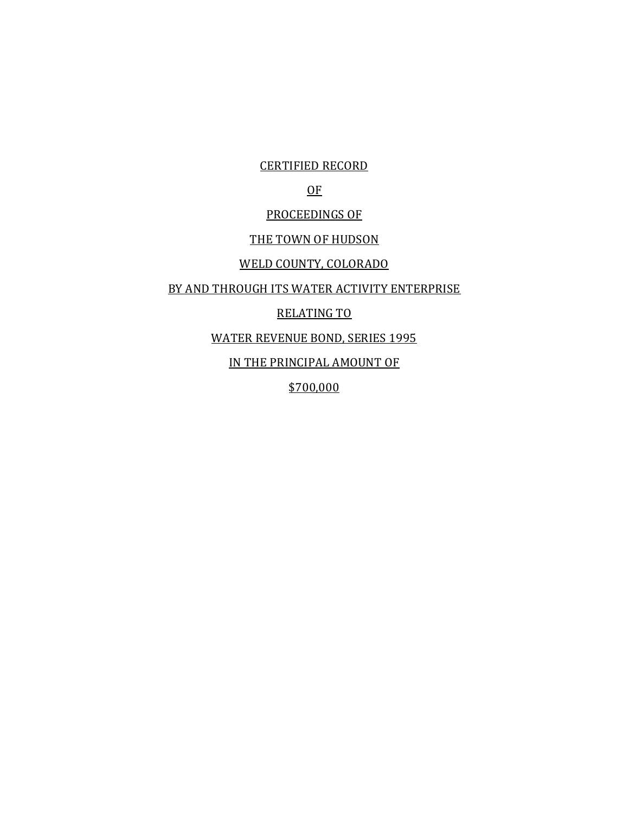CERTIFIED RECORD

# OF

## PROCEEDINGS OF

#### THE TOWN OF HUDSON

## WELD COUNTY, COLORADO

#### BY AND THROUGH ITS WATER ACTIVITY ENTERPRISE

# RELATING TO

### WATER REVENUE BOND, SERIES 1995

IN THE PRINCIPAL AMOUNT OF

\$700,000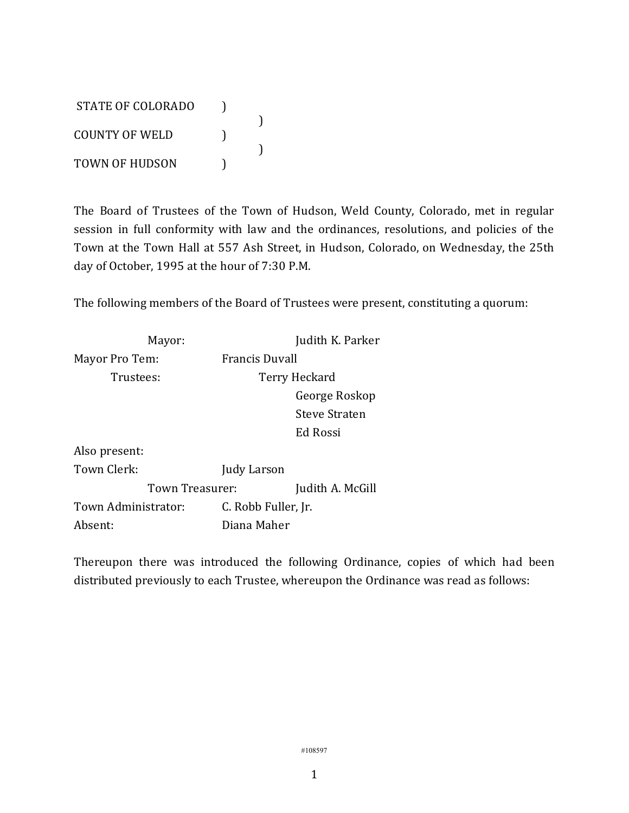STATE OF COLORADO ) ) COUNTY OF WELD ) ) TOWN OF HUDSON (1)

The Board of Trustees of the Town of Hudson, Weld County, Colorado, met in regular session in full conformity with law and the ordinances, resolutions, and policies of the Town at the Town Hall at 557 Ash Street, in Hudson, Colorado, on Wednesday, the 25th day of October, 1995 at the hour of 7:30 P.M.

The following members of the Board of Trustees were present, constituting a quorum:

| Mayor:              |                     | Judith K. Parker |
|---------------------|---------------------|------------------|
| Mayor Pro Tem:      | Francis Duvall      |                  |
| Trustees:           |                     | Terry Heckard    |
|                     |                     | George Roskop    |
|                     |                     | Steve Straten    |
|                     |                     | Ed Rossi         |
| Also present:       |                     |                  |
| Town Clerk:         | Judy Larson         |                  |
| Town Treasurer:     |                     | Judith A. McGill |
| Town Administrator: | C. Robb Fuller, Jr. |                  |
| Absent:             | Diana Maher         |                  |

Thereupon there was introduced the following Ordinance, copies of which had been distributed previously to each Trustee, whereupon the Ordinance was read as follows: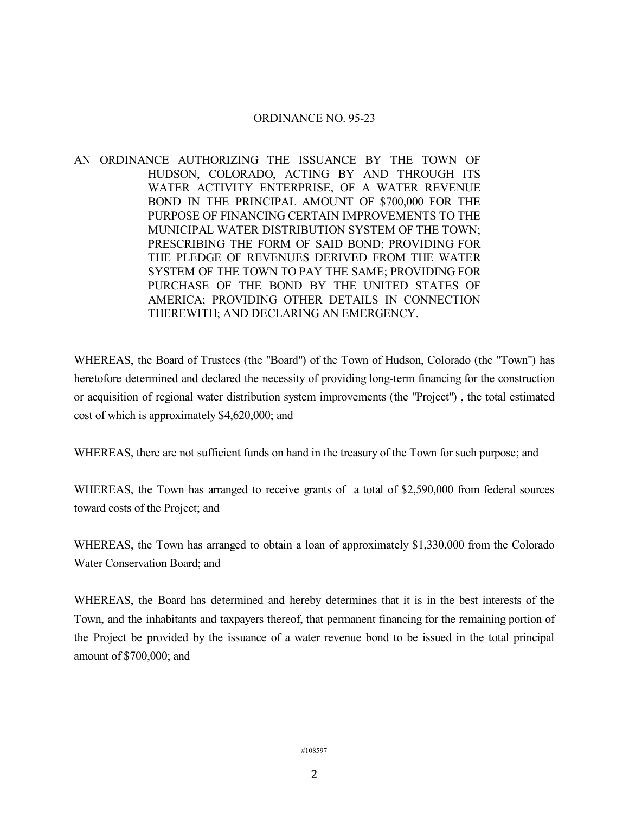#### ORDINANCE NO. 95-23

AN ORDINANCE AUTHORIZING THE ISSUANCE BY THE TOWN OF HUDSON, COLORADO, ACTING BY AND THROUGH ITS WATER ACTIVITY ENTERPRISE, OF A WATER REVENUE BOND IN THE PRINCIPAL AMOUNT OF \$700,000 FOR THE PURPOSE OF FINANCING CERTAIN IMPROVEMENTS TO THE MUNICIPAL WATER DISTRIBUTION SYSTEM OF THE TOWN; PRESCRIBING THE FORM OF SAID BOND; PROVIDING FOR THE PLEDGE OF REVENUES DERIVED FROM THE WATER SYSTEM OF THE TOWN TO PAY THE SAME; PROVIDING FOR PURCHASE OF THE BOND BY THE UNITED STATES OF AMERICA; PROVIDING OTHER DETAILS IN CONNECTION THEREWITH; AND DECLARING AN EMERGENCY.

WHEREAS, the Board of Trustees (the "Board") of the Town of Hudson, Colorado (the "Town") has heretofore determined and declared the necessity of providing long-term financing for the construction or acquisition of regional water distribution system improvements (the "Project") , the total estimated cost of which is approximately \$4,620,000; and

WHEREAS, there are not sufficient funds on hand in the treasury of the Town for such purpose; and

WHEREAS, the Town has arranged to receive grants of a total of \$2,590,000 from federal sources toward costs of the Project; and

WHEREAS, the Town has arranged to obtain a loan of approximately \$1,330,000 from the Colorado Water Conservation Board; and

WHEREAS, the Board has determined and hereby determines that it is in the best interests of the Town, and the inhabitants and taxpayers thereof, that permanent financing for the remaining portion of the Project be provided by the issuance of a water revenue bond to be issued in the total principal amount of \$700,000; and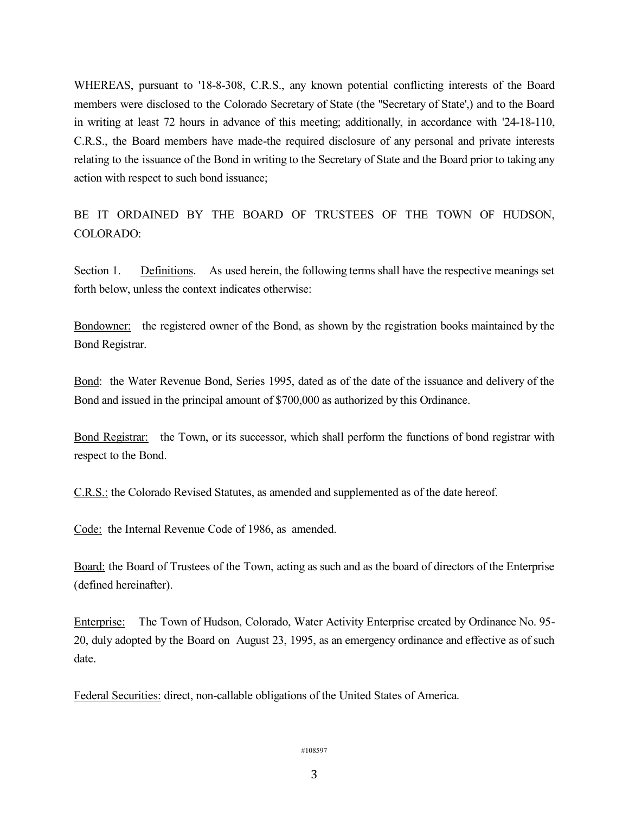WHEREAS, pursuant to '18-8-308, C.R.S., any known potential conflicting interests of the Board members were disclosed to the Colorado Secretary of State (the "Secretary of State',) and to the Board in writing at least 72 hours in advance of this meeting; additionally, in accordance with '24-18-110, C.R.S., the Board members have made-the required disclosure of any personal and private interests relating to the issuance of the Bond in writing to the Secretary of State and the Board prior to taking any action with respect to such bond issuance;

BE IT ORDAINED BY THE BOARD OF TRUSTEES OF THE TOWN OF HUDSON, COLORADO:

Section 1. Definitions. As used herein, the following terms shall have the respective meanings set forth below, unless the context indicates otherwise:

Bondowner: the registered owner of the Bond, as shown by the registration books maintained by the Bond Registrar.

Bond: the Water Revenue Bond, Series 1995, dated as of the date of the issuance and delivery of the Bond and issued in the principal amount of \$700,000 as authorized by this Ordinance.

Bond Registrar: the Town, or its successor, which shall perform the functions of bond registrar with respect to the Bond.

C.R.S.: the Colorado Revised Statutes, as amended and supplemented as of the date hereof.

Code: the Internal Revenue Code of 1986, as amended.

Board: the Board of Trustees of the Town, acting as such and as the board of directors of the Enterprise (defined hereinafter).

Enterprise: The Town of Hudson, Colorado, Water Activity Enterprise created by Ordinance No. 95- 20, duly adopted by the Board on August 23, 1995, as an emergency ordinance and effective as of such date.

Federal Securities: direct, non-callable obligations of the United States of America.

```
#108597
```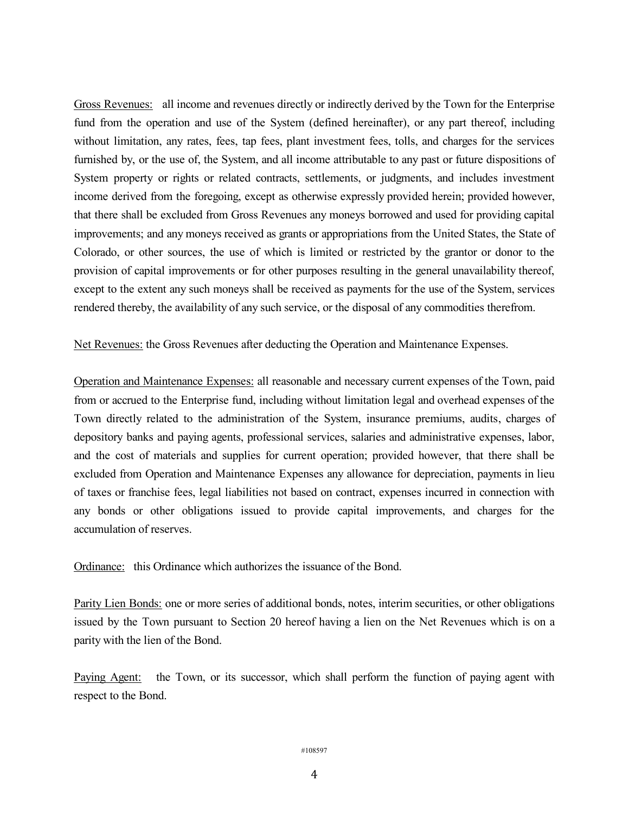Gross Revenues: all income and revenues directly or indirectly derived by the Town for the Enterprise fund from the operation and use of the System (defined hereinafter), or any part thereof, including without limitation, any rates, fees, tap fees, plant investment fees, tolls, and charges for the services furnished by, or the use of, the System, and all income attributable to any past or future dispositions of System property or rights or related contracts, settlements, or judgments, and includes investment income derived from the foregoing, except as otherwise expressly provided herein; provided however, that there shall be excluded from Gross Revenues any moneys borrowed and used for providing capital improvements; and any moneys received as grants or appropriations from the United States, the State of Colorado, or other sources, the use of which is limited or restricted by the grantor or donor to the provision of capital improvements or for other purposes resulting in the general unavailability thereof, except to the extent any such moneys shall be received as payments for the use of the System, services rendered thereby, the availability of any such service, or the disposal of any commodities therefrom.

Net Revenues: the Gross Revenues after deducting the Operation and Maintenance Expenses.

Operation and Maintenance Expenses: all reasonable and necessary current expenses of the Town, paid from or accrued to the Enterprise fund, including without limitation legal and overhead expenses of the Town directly related to the administration of the System, insurance premiums, audits, charges of depository banks and paying agents, professional services, salaries and administrative expenses, labor, and the cost of materials and supplies for current operation; provided however, that there shall be excluded from Operation and Maintenance Expenses any allowance for depreciation, payments in lieu of taxes or franchise fees, legal liabilities not based on contract, expenses incurred in connection with any bonds or other obligations issued to provide capital improvements, and charges for the accumulation of reserves.

Ordinance: this Ordinance which authorizes the issuance of the Bond.

Parity Lien Bonds: one or more series of additional bonds, notes, interim securities, or other obligations issued by the Town pursuant to Section 20 hereof having a lien on the Net Revenues which is on a parity with the lien of the Bond.

Paying Agent: the Town, or its successor, which shall perform the function of paying agent with respect to the Bond.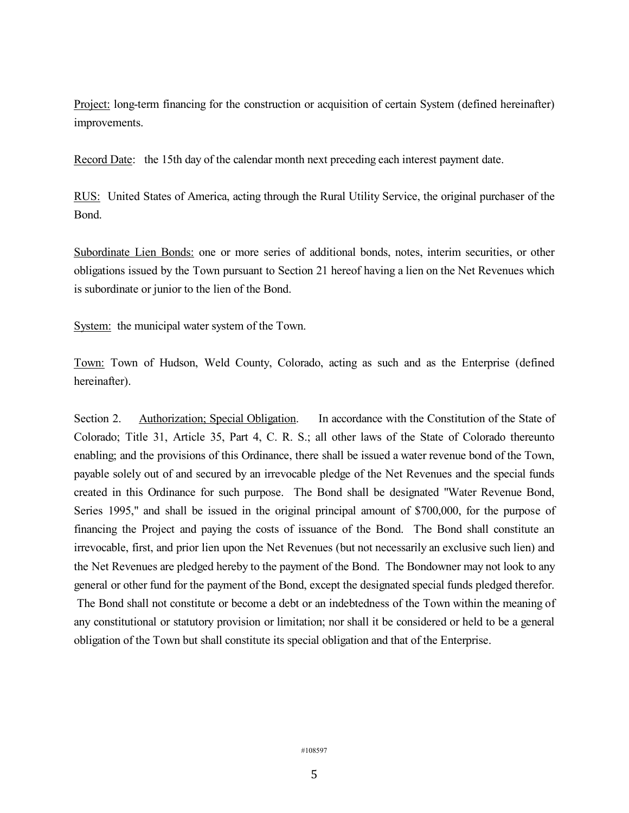Project: long-term financing for the construction or acquisition of certain System (defined hereinafter) improvements.

Record Date: the 15th day of the calendar month next preceding each interest payment date.

RUS: United States of America, acting through the Rural Utility Service, the original purchaser of the Bond.

Subordinate Lien Bonds: one or more series of additional bonds, notes, interim securities, or other obligations issued by the Town pursuant to Section 21 hereof having a lien on the Net Revenues which is subordinate or junior to the lien of the Bond.

System: the municipal water system of the Town.

Town: Town of Hudson, Weld County, Colorado, acting as such and as the Enterprise (defined hereinafter).

Section 2. Authorization; Special Obligation. In accordance with the Constitution of the State of Colorado; Title 31, Article 35, Part 4, C. R. S.; all other laws of the State of Colorado thereunto enabling; and the provisions of this Ordinance, there shall be issued a water revenue bond of the Town, payable solely out of and secured by an irrevocable pledge of the Net Revenues and the special funds created in this Ordinance for such purpose. The Bond shall be designated "Water Revenue Bond, Series 1995," and shall be issued in the original principal amount of \$700,000, for the purpose of financing the Project and paying the costs of issuance of the Bond. The Bond shall constitute an irrevocable, first, and prior lien upon the Net Revenues (but not necessarily an exclusive such lien) and the Net Revenues are pledged hereby to the payment of the Bond. The Bondowner may not look to any general or other fund for the payment of the Bond, except the designated special funds pledged therefor. The Bond shall not constitute or become a debt or an indebtedness of the Town within the meaning of

any constitutional or statutory provision or limitation; nor shall it be considered or held to be a general obligation of the Town but shall constitute its special obligation and that of the Enterprise.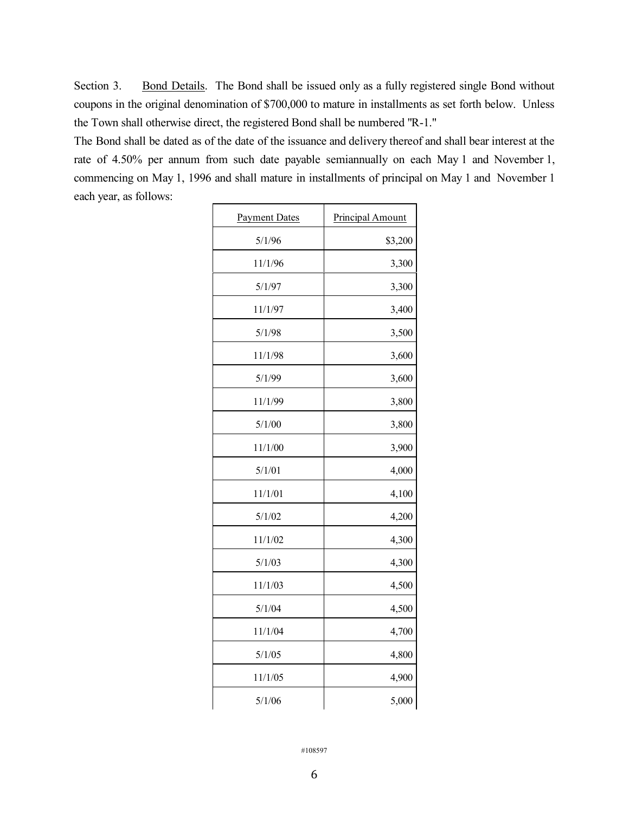Section 3. Bond Details. The Bond shall be issued only as a fully registered single Bond without coupons in the original denomination of \$700,000 to mature in installments as set forth below. Unless the Town shall otherwise direct, the registered Bond shall be numbered "R-1."

The Bond shall be dated as of the date of the issuance and delivery thereof and shall bear interest at the rate of 4.50% per annum from such date payable semiannually on each May 1 and November 1, commencing on May 1, 1996 and shall mature in installments of principal on May 1 and November 1 each year, as follows:

| <b>Payment Dates</b> | <b>Principal Amount</b> |
|----------------------|-------------------------|
| 5/1/96               | \$3,200                 |
| 11/1/96              | 3,300                   |
| 5/1/97               | 3,300                   |
| 11/1/97              | 3,400                   |
| 5/1/98               | 3,500                   |
| 11/1/98              | 3,600                   |
| 5/1/99               | 3,600                   |
| 11/1/99              | 3,800                   |
| 5/1/00               | 3,800                   |
| 11/1/00              | 3,900                   |
| 5/1/01               | 4,000                   |
| 11/1/01              | 4,100                   |
| 5/1/02               | 4,200                   |
| 11/1/02              | 4,300                   |
| 5/1/03               | 4,300                   |
| 11/1/03              | 4,500                   |
| 5/1/04               | 4,500                   |
| 11/1/04              | 4,700                   |
| 5/1/05               | 4,800                   |
| 11/1/05              | 4,900                   |
| 5/1/06               | 5,000                   |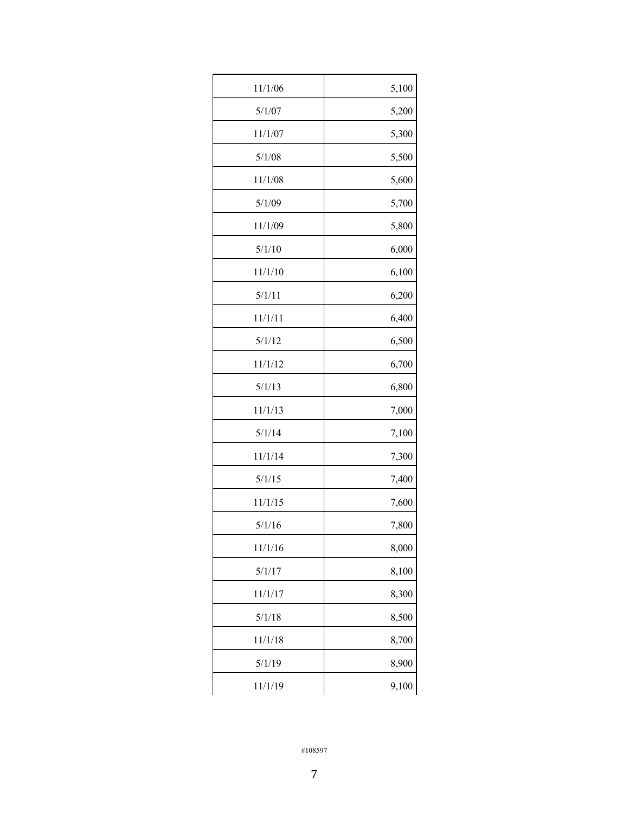| 11/1/06 | 5,100 |
|---------|-------|
| 5/1/07  | 5,200 |
| 11/1/07 | 5,300 |
| 5/1/08  | 5,500 |
| 11/1/08 | 5,600 |
| 5/1/09  | 5,700 |
| 11/1/09 | 5,800 |
| 5/1/10  | 6,000 |
| 11/1/10 | 6,100 |
| 5/1/11  | 6,200 |
| 11/1/11 | 6,400 |
| 5/1/12  | 6,500 |
| 11/1/12 | 6,700 |
| 5/1/13  | 6,800 |
| 11/1/13 | 7,000 |
| 5/1/14  | 7,100 |
| 11/1/14 | 7,300 |
| 5/1/15  | 7,400 |
| 11/1/15 | 7,600 |
| 5/1/16  | 7,800 |
| 11/1/16 | 8,000 |
| 5/1/17  | 8,100 |
| 11/1/17 | 8,300 |
| 5/1/18  | 8,500 |
| 11/1/18 | 8,700 |
| 5/1/19  | 8,900 |
| 11/1/19 | 9,100 |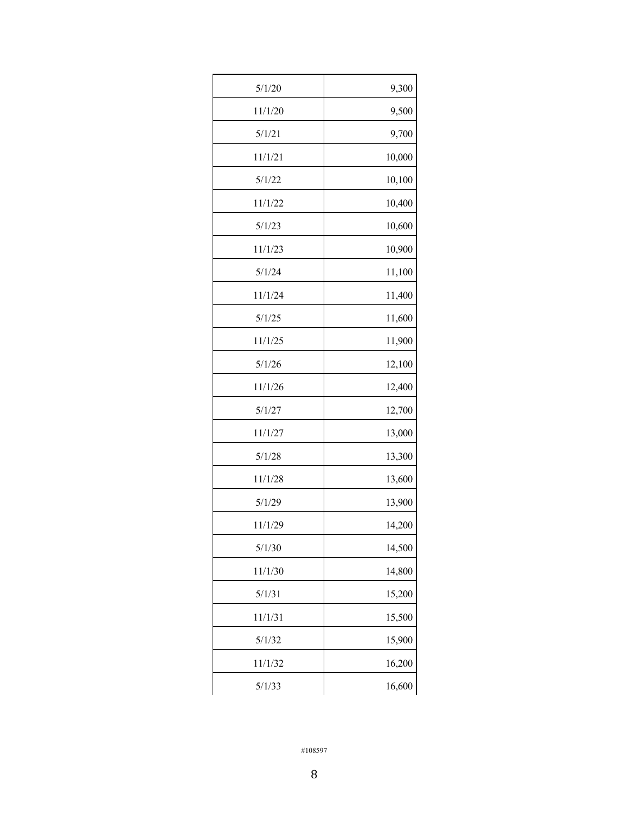| 5/1/20  | 9,300  |
|---------|--------|
| 11/1/20 | 9,500  |
| 5/1/21  | 9,700  |
| 11/1/21 | 10,000 |
| 5/1/22  | 10,100 |
| 11/1/22 | 10,400 |
| 5/1/23  | 10,600 |
| 11/1/23 | 10,900 |
| 5/1/24  | 11,100 |
| 11/1/24 | 11,400 |
| 5/1/25  | 11,600 |
| 11/1/25 | 11,900 |
| 5/1/26  | 12,100 |
| 11/1/26 | 12,400 |
| 5/1/27  | 12,700 |
| 11/1/27 | 13,000 |
| 5/1/28  | 13,300 |
| 11/1/28 | 13,600 |
| 5/1/29  | 13,900 |
| 11/1/29 | 14,200 |
| 5/1/30  | 14,500 |
| 11/1/30 | 14,800 |
| 5/1/31  | 15,200 |
| 11/1/31 | 15,500 |
| 5/1/32  | 15,900 |
| 11/1/32 | 16,200 |
| 5/1/33  | 16,600 |
|         |        |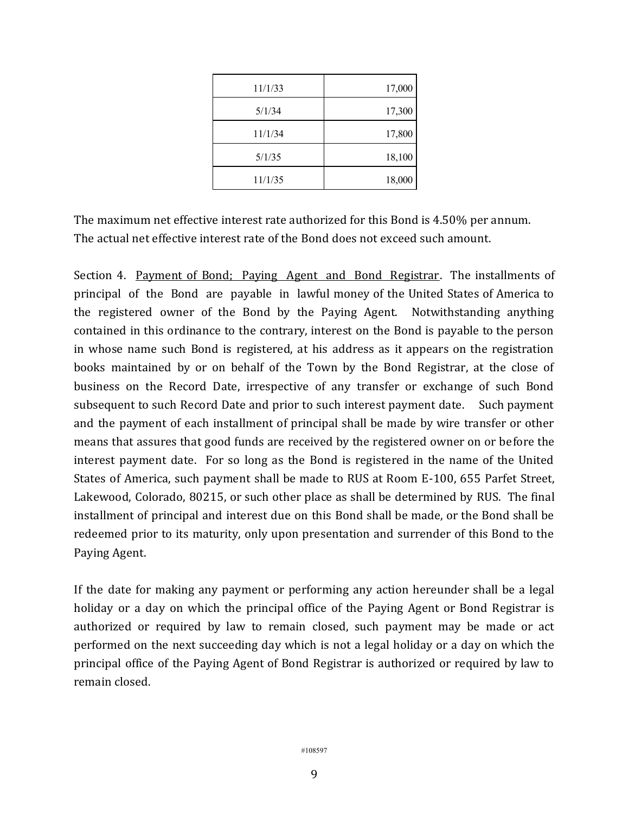| 11/1/33 | 17,000 |
|---------|--------|
| 5/1/34  | 17,300 |
| 11/1/34 | 17,800 |
| 5/1/35  | 18,100 |
| 11/1/35 | 18,000 |

The maximum net effective interest rate authorized for this Bond is 4.50% per annum. The actual net effective interest rate of the Bond does not exceed such amount.

Section 4. Payment of Bond; Paying Agent and Bond Registrar. The installments of principal of the Bond are payable in lawful money of the United States of America to the registered owner of the Bond by the Paying Agent. Notwithstanding anything contained in this ordinance to the contrary, interest on the Bond is payable to the person in whose name such Bond is registered, at his address as it appears on the registration books maintained by or on behalf of the Town by the Bond Registrar, at the close of business on the Record Date, irrespective of any transfer or exchange of such Bond subsequent to such Record Date and prior to such interest payment date. Such payment and the payment of each installment of principal shall be made by wire transfer or other means that assures that good funds are received by the registered owner on or before the interest payment date. For so long as the Bond is registered in the name of the United States of America, such payment shall be made to RUS at Room E-100, 655 Parfet Street, Lakewood, Colorado, 80215, or such other place as shall be determined by RUS. The final installment of principal and interest due on this Bond shall be made, or the Bond shall be redeemed prior to its maturity, only upon presentation and surrender of this Bond to the Paying Agent.

If the date for making any payment or performing any action hereunder shall be a legal holiday or a day on which the principal office of the Paying Agent or Bond Registrar is authorized or required by law to remain closed, such payment may be made or act performed on the next succeeding day which is not a legal holiday or a day on which the principal office of the Paying Agent of Bond Registrar is authorized or required by law to remain closed.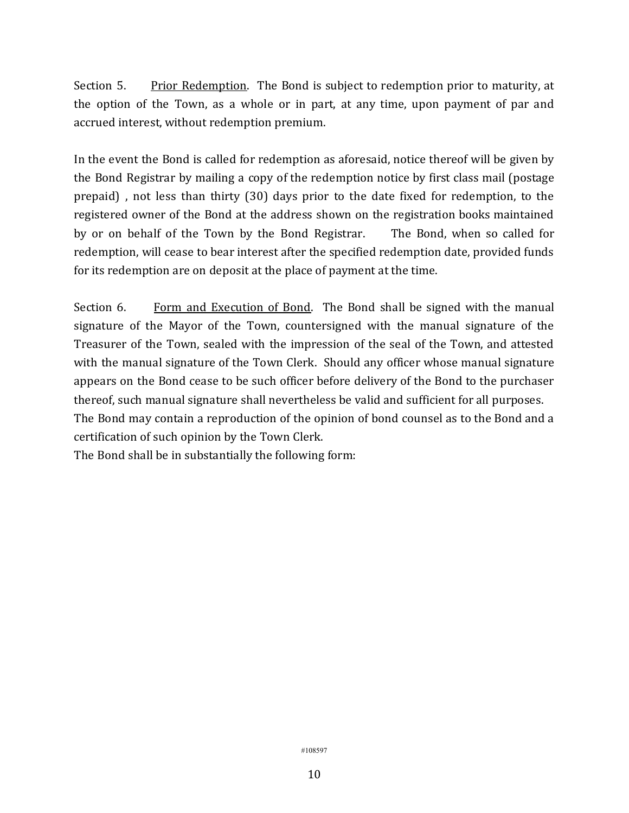Section 5. Prior Redemption. The Bond is subject to redemption prior to maturity, at the option of the Town, as a whole or in part, at any time, upon payment of par and accrued interest, without redemption premium.

In the event the Bond is called for redemption as aforesaid, notice thereof will be given by the Bond Registrar by mailing a copy of the redemption notice by first class mail (postage prepaid) , not less than thirty (30) days prior to the date fixed for redemption, to the registered owner of the Bond at the address shown on the registration books maintained by or on behalf of the Town by the Bond Registrar. The Bond, when so called for redemption, will cease to bear interest after the specified redemption date, provided funds for its redemption are on deposit at the place of payment at the time.

Section 6. Form and Execution of Bond. The Bond shall be signed with the manual signature of the Mayor of the Town, countersigned with the manual signature of the Treasurer of the Town, sealed with the impression of the seal of the Town, and attested with the manual signature of the Town Clerk. Should any officer whose manual signature appears on the Bond cease to be such officer before delivery of the Bond to the purchaser thereof, such manual signature shall nevertheless be valid and sufficient for all purposes. The Bond may contain a reproduction of the opinion of bond counsel as to the Bond and a

certification of such opinion by the Town Clerk.

The Bond shall be in substantially the following form: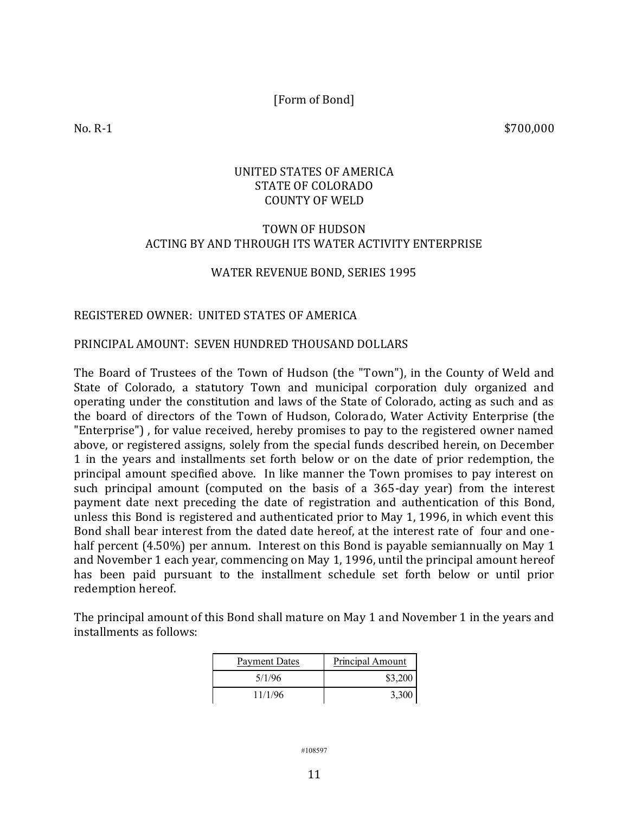[Form of Bond]

 $\text{No. } \text{R-1}$  \$700,000

### UNITED STATES OF AMERICA STATE OF COLORADO COUNTY OF WELD

### TOWN OF HUDSON ACTING BY AND THROUGH ITS WATER ACTIVITY ENTERPRISE

#### WATER REVENUE BOND, SERIES 1995

#### REGISTERED OWNER: UNITED STATES OF AMERICA

#### PRINCIPAL AMOUNT: SEVEN HUNDRED THOUSAND DOLLARS

The Board of Trustees of the Town of Hudson (the "Town"), in the County of Weld and State of Colorado, a statutory Town and municipal corporation duly organized and operating under the constitution and laws of the State of Colorado, acting as such and as the board of directors of the Town of Hudson, Colorado, Water Activity Enterprise (the "Enterprise") , for value received, hereby promises to pay to the registered owner named above, or registered assigns, solely from the special funds described herein, on December 1 in the years and installments set forth below or on the date of prior redemption, the principal amount specified above. In like manner the Town promises to pay interest on such principal amount (computed on the basis of a 365-day year) from the interest payment date next preceding the date of registration and authentication of this Bond, unless this Bond is registered and authenticated prior to May 1, 1996, in which event this Bond shall bear interest from the dated date hereof, at the interest rate of four and onehalf percent (4.50%) per annum. Interest on this Bond is payable semiannually on May 1 and November 1 each year, commencing on May 1, 1996, until the principal amount hereof has been paid pursuant to the installment schedule set forth below or until prior redemption hereof.

The principal amount of this Bond shall mature on May 1 and November 1 in the years and installments as follows:

| <b>Payment Dates</b> | Principal Amount |
|----------------------|------------------|
| 5/1/96               | \$3,200          |
| 11/1/96              | 3,300            |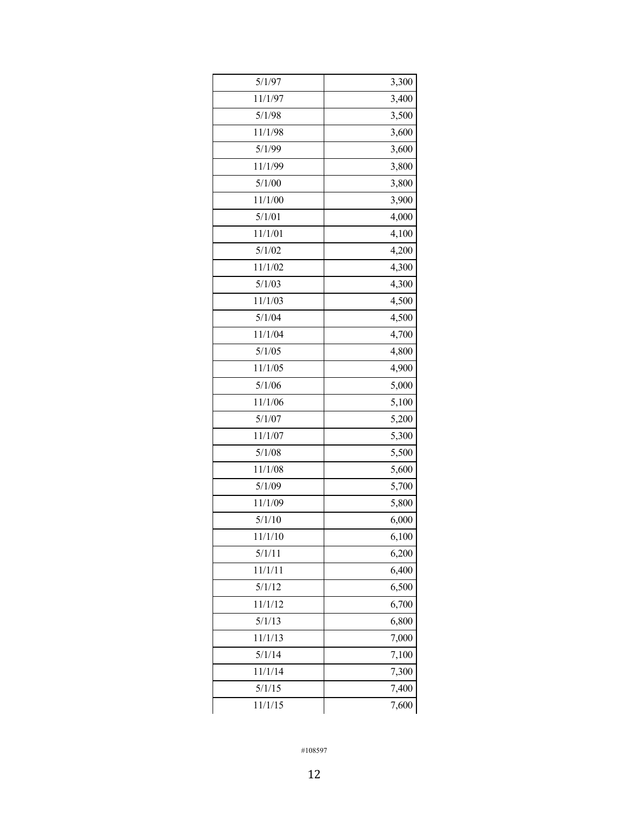| 5/1/97  | 3,300 |
|---------|-------|
| 11/1/97 | 3,400 |
| 5/1/98  | 3,500 |
| 11/1/98 | 3,600 |
| 5/1/99  | 3,600 |
| 11/1/99 | 3,800 |
| 5/1/00  | 3,800 |
| 11/1/00 | 3,900 |
| 5/1/01  | 4,000 |
| 11/1/01 | 4,100 |
| 5/1/02  | 4,200 |
| 11/1/02 | 4,300 |
| 5/1/03  | 4,300 |
| 11/1/03 | 4,500 |
| 5/1/04  | 4,500 |
| 11/1/04 | 4,700 |
| 5/1/05  | 4,800 |
| 11/1/05 | 4,900 |
| 5/1/06  | 5,000 |
| 11/1/06 | 5,100 |
| 5/1/07  | 5,200 |
| 11/1/07 | 5,300 |
| 5/1/08  | 5,500 |
| 11/1/08 | 5,600 |
| 5/1/09  | 5,700 |
| 11/1/09 | 5,800 |
| 5/1/10  | 6,000 |
| 11/1/10 | 6,100 |
| 5/1/11  | 6,200 |
| 11/1/11 | 6,400 |
| 5/1/12  | 6,500 |
| 11/1/12 | 6,700 |
| 5/1/13  | 6,800 |
| 11/1/13 | 7,000 |
| 5/1/14  | 7,100 |
| 11/1/14 | 7,300 |
| 5/1/15  | 7,400 |
| 11/1/15 | 7,600 |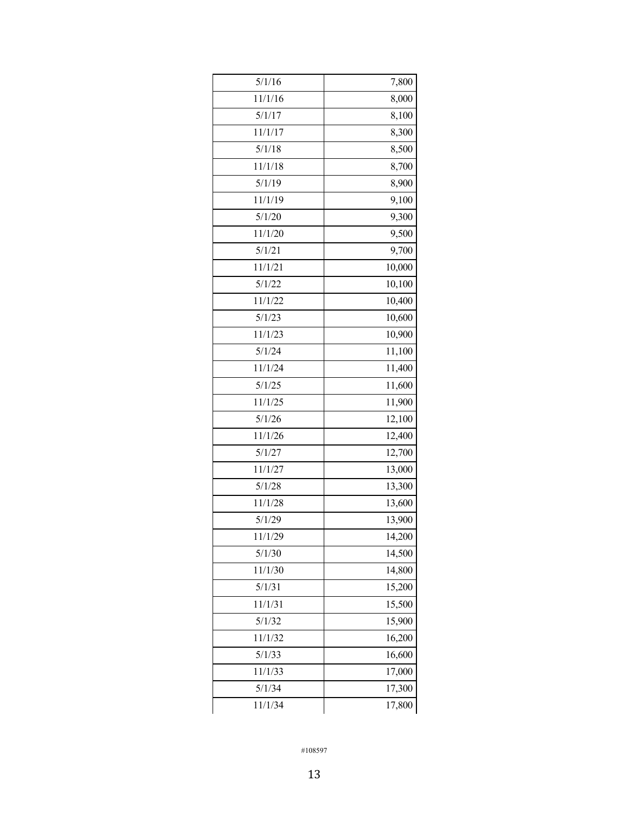| 5/1/16  | 7,800  |
|---------|--------|
| 11/1/16 | 8,000  |
| 5/1/17  | 8,100  |
| 11/1/17 | 8,300  |
| 5/1/18  | 8,500  |
| 11/1/18 | 8,700  |
| 5/1/19  | 8,900  |
| 11/1/19 | 9,100  |
| 5/1/20  | 9,300  |
| 11/1/20 | 9,500  |
| 5/1/21  | 9,700  |
| 11/1/21 | 10,000 |
| 5/1/22  | 10,100 |
| 11/1/22 | 10,400 |
| 5/1/23  | 10,600 |
| 11/1/23 | 10,900 |
| 5/1/24  | 11,100 |
| 11/1/24 | 11,400 |
| 5/1/25  | 11,600 |
| 11/1/25 | 11,900 |
| 5/1/26  | 12,100 |
| 11/1/26 | 12,400 |
| 5/1/27  | 12,700 |
| 11/1/27 | 13,000 |
| 5/1/28  | 13,300 |
| 11/1/28 | 13,600 |
| 5/1/29  | 13,900 |
| 11/1/29 | 14,200 |
| 5/1/30  | 14,500 |
| 11/1/30 | 14,800 |
| 5/1/31  | 15,200 |
| 11/1/31 | 15,500 |
| 5/1/32  | 15,900 |
| 11/1/32 | 16,200 |
| 5/1/33  | 16,600 |
| 11/1/33 | 17,000 |
| 5/1/34  | 17,300 |
| 11/1/34 | 17,800 |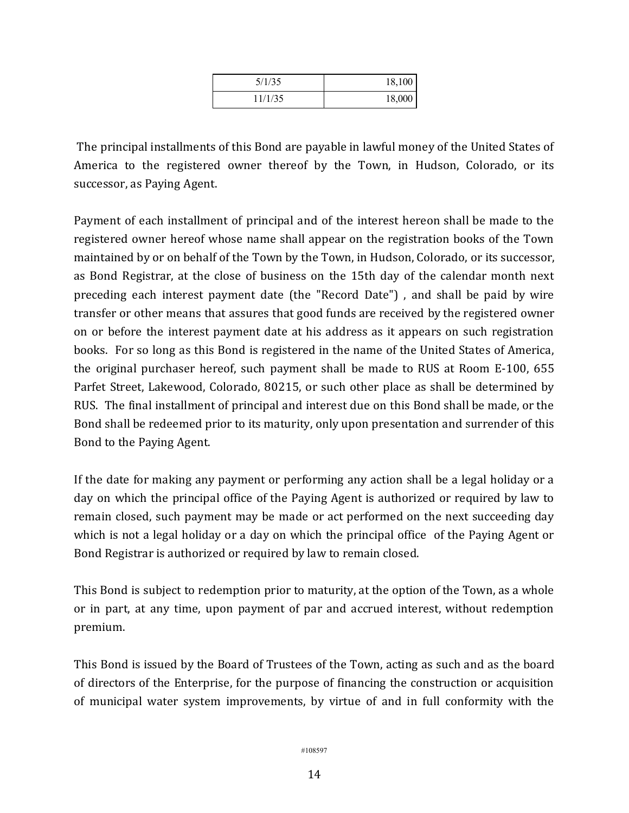| 5/1/35  | 18,100 |
|---------|--------|
| 11/1/35 | 18,000 |

The principal installments of this Bond are payable in lawful money of the United States of America to the registered owner thereof by the Town, in Hudson, Colorado, or its successor, as Paying Agent.

Payment of each installment of principal and of the interest hereon shall be made to the registered owner hereof whose name shall appear on the registration books of the Town maintained by or on behalf of the Town by the Town, in Hudson, Colorado, or its successor, as Bond Registrar, at the close of business on the 15th day of the calendar month next preceding each interest payment date (the "Record Date") , and shall be paid by wire transfer or other means that assures that good funds are received by the registered owner on or before the interest payment date at his address as it appears on such registration books. For so long as this Bond is registered in the name of the United States of America, the original purchaser hereof, such payment shall be made to RUS at Room E-100, 655 Parfet Street, Lakewood, Colorado, 80215, or such other place as shall be determined by RUS. The final installment of principal and interest due on this Bond shall be made, or the Bond shall be redeemed prior to its maturity, only upon presentation and surrender of this Bond to the Paying Agent.

If the date for making any payment or performing any action shall be a legal holiday or a day on which the principal office of the Paying Agent is authorized or required by law to remain closed, such payment may be made or act performed on the next succeeding day which is not a legal holiday or a day on which the principal office of the Paying Agent or Bond Registrar is authorized or required by law to remain closed.

This Bond is subject to redemption prior to maturity, at the option of the Town, as a whole or in part, at any time, upon payment of par and accrued interest, without redemption premium.

This Bond is issued by the Board of Trustees of the Town, acting as such and as the board of directors of the Enterprise, for the purpose of financing the construction or acquisition of municipal water system improvements, by virtue of and in full conformity with the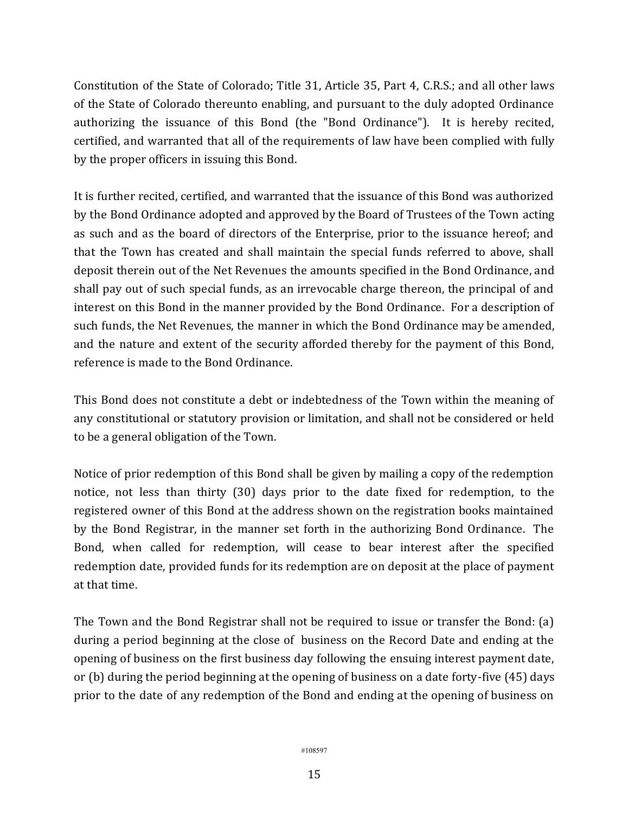Constitution of the State of Colorado; Title 31, Article 35, Part 4, C.R.S.; and all other laws of the State of Colorado thereunto enabling, and pursuant to the duly adopted Ordinance authorizing the issuance of this Bond (the "Bond Ordinance"). It is hereby recited, certified, and warranted that all of the requirements of law have been complied with fully by the proper officers in issuing this Bond.

It is further recited, certified, and warranted that the issuance of this Bond was authorized by the Bond Ordinance adopted and approved by the Board of Trustees of the Town acting as such and as the board of directors of the Enterprise, prior to the issuance hereof; and that the Town has created and shall maintain the special funds referred to above, shall deposit therein out of the Net Revenues the amounts specified in the Bond Ordinance, and shall pay out of such special funds, as an irrevocable charge thereon, the principal of and interest on this Bond in the manner provided by the Bond Ordinance. For a description of such funds, the Net Revenues, the manner in which the Bond Ordinance may be amended, and the nature and extent of the security afforded thereby for the payment of this Bond, reference is made to the Bond Ordinance.

This Bond does not constitute a debt or indebtedness of the Town within the meaning of any constitutional or statutory provision or limitation, and shall not be considered or held to be a general obligation of the Town.

Notice of prior redemption of this Bond shall be given by mailing a copy of the redemption notice, not less than thirty (30) days prior to the date fixed for redemption, to the registered owner of this Bond at the address shown on the registration books maintained by the Bond Registrar, in the manner set forth in the authorizing Bond Ordinance. The Bond, when called for redemption, will cease to bear interest after the specified redemption date, provided funds for its redemption are on deposit at the place of payment at that time.

The Town and the Bond Registrar shall not be required to issue or transfer the Bond: (a) during a period beginning at the close of business on the Record Date and ending at the opening of business on the first business day following the ensuing interest payment date, or (b) during the period beginning at the opening of business on a date forty-five (45) days prior to the date of any redemption of the Bond and ending at the opening of business on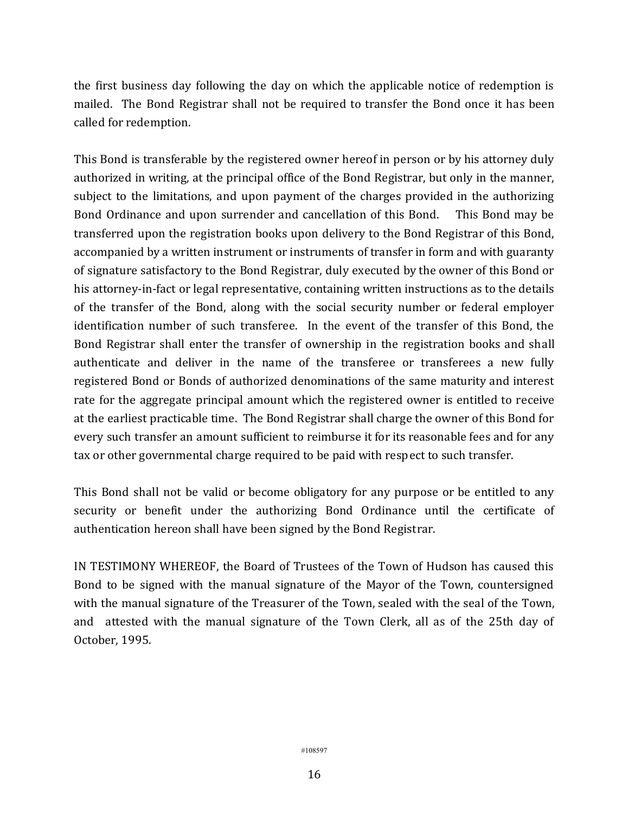the first business day following the day on which the applicable notice of redemption is mailed. The Bond Registrar shall not be required to transfer the Bond once it has been called for redemption.

This Bond is transferable by the registered owner hereof in person or by his attorney duly authorized in writing, at the principal office of the Bond Registrar, but only in the manner, subject to the limitations, and upon payment of the charges provided in the authorizing Bond Ordinance and upon surrender and cancellation of this Bond. This Bond may be transferred upon the registration books upon delivery to the Bond Registrar of this Bond, accompanied by a written instrument or instruments of transfer in form and with guaranty of signature satisfactory to the Bond Registrar, duly executed by the owner of this Bond or his attorney-in-fact or legal representative, containing written instructions as to the details of the transfer of the Bond, along with the social security number or federal employer identification number of such transferee. In the event of the transfer of this Bond, the Bond Registrar shall enter the transfer of ownership in the registration books and shall authenticate and deliver in the name of the transferee or transferees a new fully registered Bond or Bonds of authorized denominations of the same maturity and interest rate for the aggregate principal amount which the registered owner is entitled to receive at the earliest practicable time. The Bond Registrar shall charge the owner of this Bond for every such transfer an amount sufficient to reimburse it for its reasonable fees and for any tax or other governmental charge required to be paid with respect to such transfer.

This Bond shall not be valid or become obligatory for any purpose or be entitled to any security or benefit under the authorizing Bond Ordinance until the certificate of authentication hereon shall have been signed by the Bond Registrar.

IN TESTIMONY WHEREOF, the Board of Trustees of the Town of Hudson has caused this Bond to be signed with the manual signature of the Mayor of the Town, countersigned with the manual signature of the Treasurer of the Town, sealed with the seal of the Town, and attested with the manual signature of the Town Clerk, all as of the 25th day of October, 1995.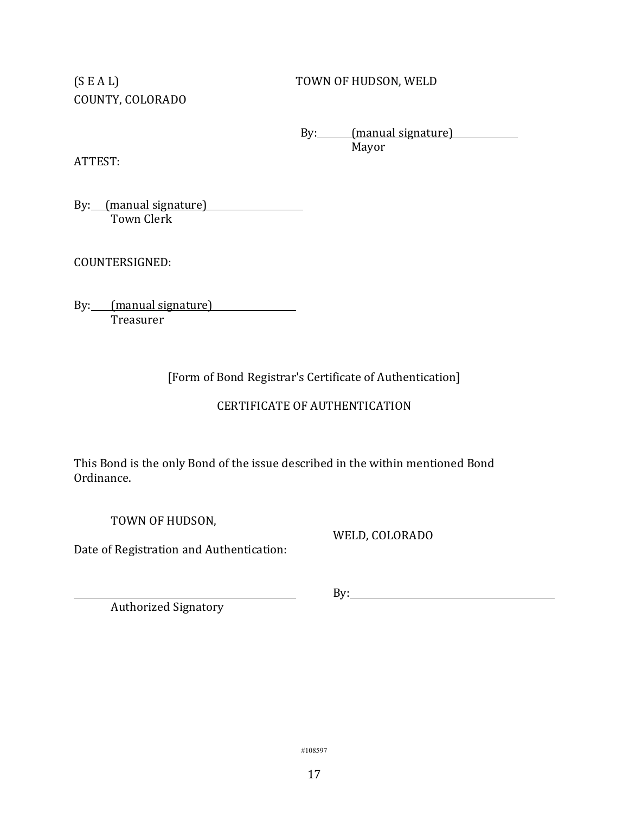COUNTY, COLORADO

(S E A L) TOWN OF HUDSON, WELD

By: (manual signature) Mayor

ATTEST:

By: (manual signature) Town Clerk

COUNTERSIGNED:

By: (manual signature) **Treasurer** 

[Form of Bond Registrar's Certificate of Authentication]

# CERTIFICATE OF AUTHENTICATION

This Bond is the only Bond of the issue described in the within mentioned Bond Ordinance.

TOWN OF HUDSON,

Date of Registration and Authentication:

WELD, COLORADO

Authorized Signatory

By: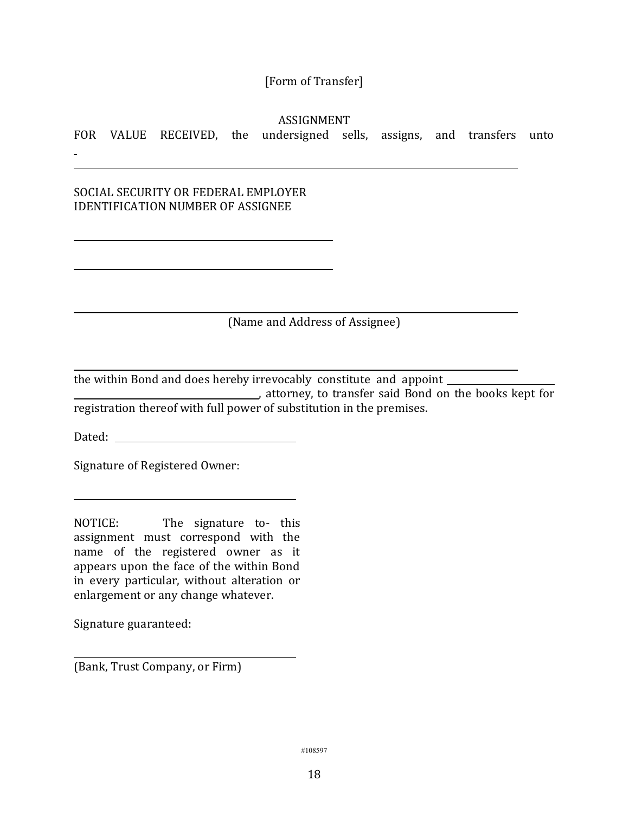# [Form of Transfer]

ASSIGNMENT

FOR VALUE RECEIVED, the undersigned sells, assigns, and transfers unto

SOCIAL SECURITY OR FEDERAL EMPLOYER IDENTIFICATION NUMBER OF ASSIGNEE

(Name and Address of Assignee)

the within Bond and does hereby irrevocably constitute and appoint **EXECUTE:** attorney, to transfer said Bond on the books kept for registration thereof with full power of substitution in the premises.

Dated:

Signature of Registered Owner:

NOTICE: The signature to- this assignment must correspond with the name of the registered owner as it appears upon the face of the within Bond in every particular, without alteration or enlargement or any change whatever.

Signature guaranteed:

(Bank, Trust Company, or Firm)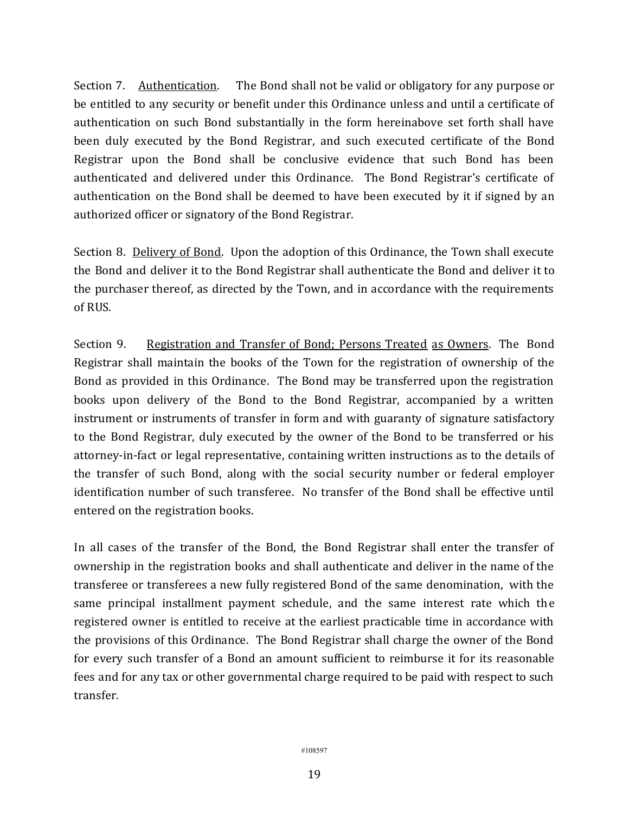Section 7. Authentication. The Bond shall not be valid or obligatory for any purpose or be entitled to any security or benefit under this Ordinance unless and until a certificate of authentication on such Bond substantially in the form hereinabove set forth shall have been duly executed by the Bond Registrar, and such executed certificate of the Bond Registrar upon the Bond shall be conclusive evidence that such Bond has been authenticated and delivered under this Ordinance. The Bond Registrar's certificate of authentication on the Bond shall be deemed to have been executed by it if signed by an authorized officer or signatory of the Bond Registrar.

Section 8. Delivery of Bond. Upon the adoption of this Ordinance, the Town shall execute the Bond and deliver it to the Bond Registrar shall authenticate the Bond and deliver it to the purchaser thereof, as directed by the Town, and in accordance with the requirements of RUS.

Section 9. Registration and Transfer of Bond; Persons Treated as Owners. The Bond Registrar shall maintain the books of the Town for the registration of ownership of the Bond as provided in this Ordinance. The Bond may be transferred upon the registration books upon delivery of the Bond to the Bond Registrar, accompanied by a written instrument or instruments of transfer in form and with guaranty of signature satisfactory to the Bond Registrar, duly executed by the owner of the Bond to be transferred or his attorney-in-fact or legal representative, containing written instructions as to the details of the transfer of such Bond, along with the social security number or federal employer identification number of such transferee. No transfer of the Bond shall be effective until entered on the registration books.

In all cases of the transfer of the Bond, the Bond Registrar shall enter the transfer of ownership in the registration books and shall authenticate and deliver in the name of the transferee or transferees a new fully registered Bond of the same denomination, with the same principal installment payment schedule, and the same interest rate which the registered owner is entitled to receive at the earliest practicable time in accordance with the provisions of this Ordinance. The Bond Registrar shall charge the owner of the Bond for every such transfer of a Bond an amount sufficient to reimburse it for its reasonable fees and for any tax or other governmental charge required to be paid with respect to such transfer.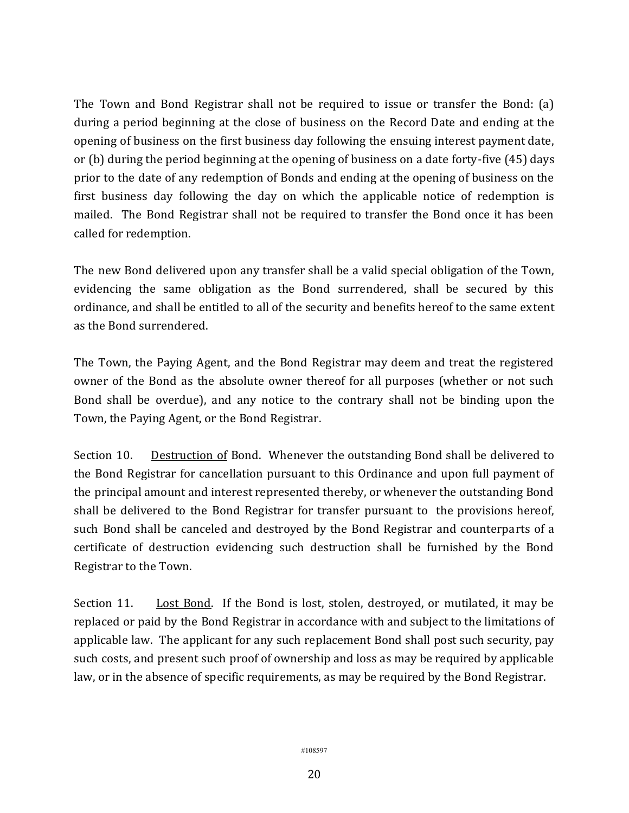The Town and Bond Registrar shall not be required to issue or transfer the Bond: (a) during a period beginning at the close of business on the Record Date and ending at the opening of business on the first business day following the ensuing interest payment date, or (b) during the period beginning at the opening of business on a date forty-five (45) days prior to the date of any redemption of Bonds and ending at the opening of business on the first business day following the day on which the applicable notice of redemption is mailed. The Bond Registrar shall not be required to transfer the Bond once it has been called for redemption.

The new Bond delivered upon any transfer shall be a valid special obligation of the Town, evidencing the same obligation as the Bond surrendered, shall be secured by this ordinance, and shall be entitled to all of the security and benefits hereof to the same extent as the Bond surrendered.

The Town, the Paying Agent, and the Bond Registrar may deem and treat the registered owner of the Bond as the absolute owner thereof for all purposes (whether or not such Bond shall be overdue), and any notice to the contrary shall not be binding upon the Town, the Paying Agent, or the Bond Registrar.

Section 10. Destruction of Bond. Whenever the outstanding Bond shall be delivered to the Bond Registrar for cancellation pursuant to this Ordinance and upon full payment of the principal amount and interest represented thereby, or whenever the outstanding Bond shall be delivered to the Bond Registrar for transfer pursuant to the provisions hereof, such Bond shall be canceled and destroyed by the Bond Registrar and counterparts of a certificate of destruction evidencing such destruction shall be furnished by the Bond Registrar to the Town.

Section 11. Lost Bond. If the Bond is lost, stolen, destroyed, or mutilated, it may be replaced or paid by the Bond Registrar in accordance with and subject to the limitations of applicable law. The applicant for any such replacement Bond shall post such security, pay such costs, and present such proof of ownership and loss as may be required by applicable law, or in the absence of specific requirements, as may be required by the Bond Registrar.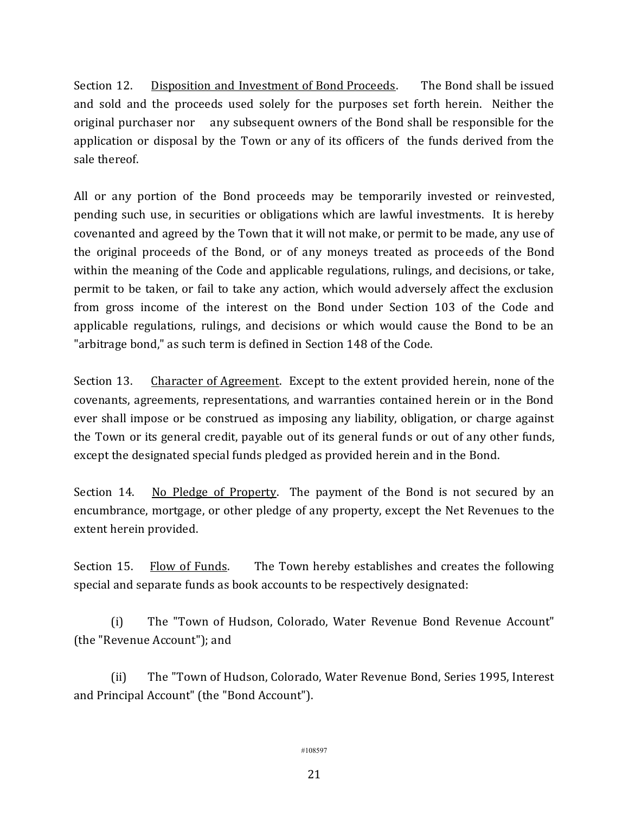Section 12. Disposition and Investment of Bond Proceeds. The Bond shall be issued and sold and the proceeds used solely for the purposes set forth herein. Neither the original purchaser nor any subsequent owners of the Bond shall be responsible for the application or disposal by the Town or any of its officers of the funds derived from the sale thereof.

All or any portion of the Bond proceeds may be temporarily invested or reinvested, pending such use, in securities or obligations which are lawful investments. It is hereby covenanted and agreed by the Town that it will not make, or permit to be made, any use of the original proceeds of the Bond, or of any moneys treated as proceeds of the Bond within the meaning of the Code and applicable regulations, rulings, and decisions, or take, permit to be taken, or fail to take any action, which would adversely affect the exclusion from gross income of the interest on the Bond under Section 103 of the Code and applicable regulations, rulings, and decisions or which would cause the Bond to be an "arbitrage bond," as such term is defined in Section 148 of the Code.

Section 13. Character of Agreement. Except to the extent provided herein, none of the covenants, agreements, representations, and warranties contained herein or in the Bond ever shall impose or be construed as imposing any liability, obligation, or charge against the Town or its general credit, payable out of its general funds or out of any other funds, except the designated special funds pledged as provided herein and in the Bond.

Section 14. No Pledge of Property. The payment of the Bond is not secured by an encumbrance, mortgage, or other pledge of any property, except the Net Revenues to the extent herein provided.

Section 15. Flow of Funds. The Town hereby establishes and creates the following special and separate funds as book accounts to be respectively designated:

(i) The "Town of Hudson, Colorado, Water Revenue Bond Revenue Account" (the "Revenue Account"); and

(ii) The "Town of Hudson, Colorado, Water Revenue Bond, Series 1995, Interest and Principal Account" (the "Bond Account").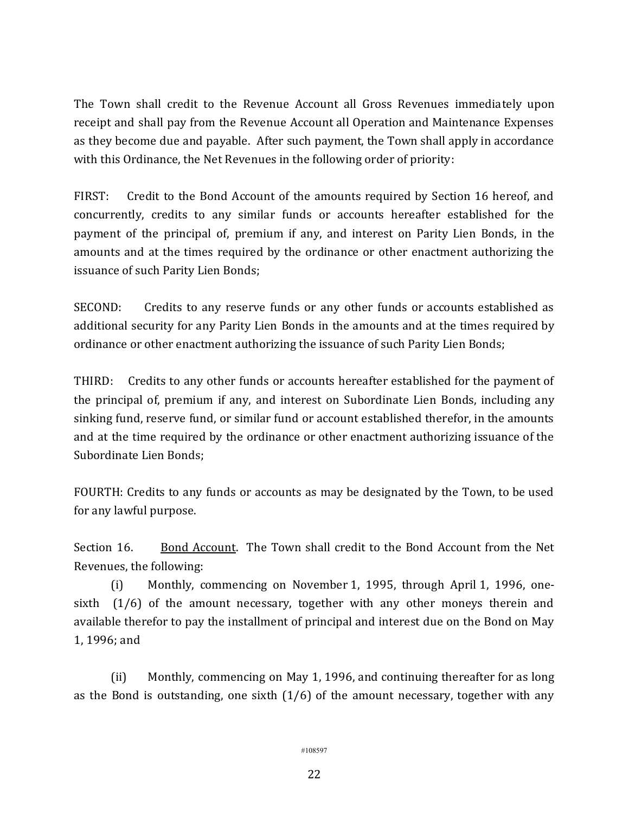The Town shall credit to the Revenue Account all Gross Revenues immediately upon receipt and shall pay from the Revenue Account all Operation and Maintenance Expenses as they become due and payable. After such payment, the Town shall apply in accordance with this Ordinance, the Net Revenues in the following order of priority:

FIRST: Credit to the Bond Account of the amounts required by Section 16 hereof, and concurrently, credits to any similar funds or accounts hereafter established for the payment of the principal of, premium if any, and interest on Parity Lien Bonds, in the amounts and at the times required by the ordinance or other enactment authorizing the issuance of such Parity Lien Bonds;

SECOND: Credits to any reserve funds or any other funds or accounts established as additional security for any Parity Lien Bonds in the amounts and at the times required by ordinance or other enactment authorizing the issuance of such Parity Lien Bonds;

THIRD: Credits to any other funds or accounts hereafter established for the payment of the principal of, premium if any, and interest on Subordinate Lien Bonds, including any sinking fund, reserve fund, or similar fund or account established therefor, in the amounts and at the time required by the ordinance or other enactment authorizing issuance of the Subordinate Lien Bonds;

FOURTH: Credits to any funds or accounts as may be designated by the Town, to be used for any lawful purpose.

Section 16. Bond Account. The Town shall credit to the Bond Account from the Net Revenues, the following:

(i) Monthly, commencing on November 1, 1995, through April 1, 1996, onesixth (1/6) of the amount necessary, together with any other moneys therein and available therefor to pay the installment of principal and interest due on the Bond on May 1, 1996; and

(ii) Monthly, commencing on May 1, 1996, and continuing thereafter for as long as the Bond is outstanding, one sixth  $(1/6)$  of the amount necessary, together with any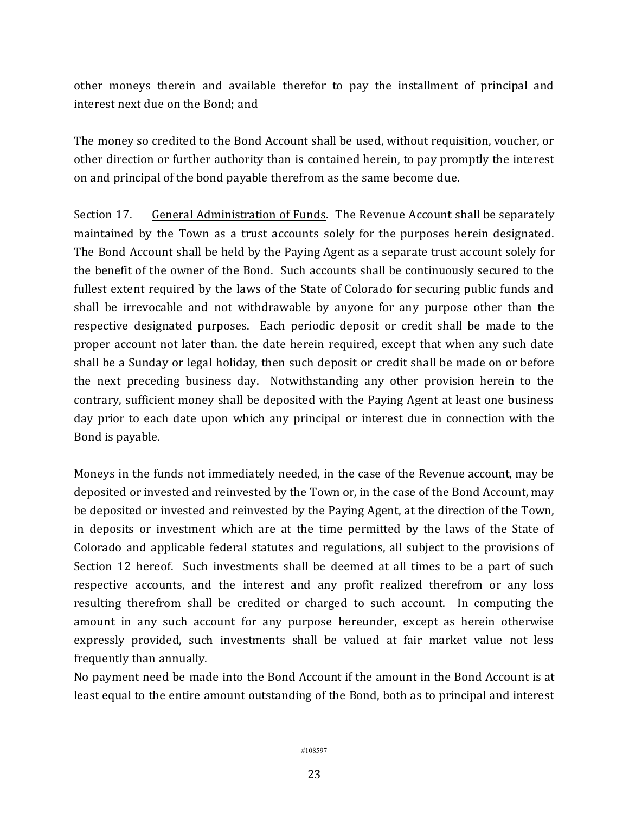other moneys therein and available therefor to pay the installment of principal and interest next due on the Bond; and

The money so credited to the Bond Account shall be used, without requisition, voucher, or other direction or further authority than is contained herein, to pay promptly the interest on and principal of the bond payable therefrom as the same become due.

Section 17. General Administration of Funds. The Revenue Account shall be separately maintained by the Town as a trust accounts solely for the purposes herein designated. The Bond Account shall be held by the Paying Agent as a separate trust account solely for the benefit of the owner of the Bond. Such accounts shall be continuously secured to the fullest extent required by the laws of the State of Colorado for securing public funds and shall be irrevocable and not withdrawable by anyone for any purpose other than the respective designated purposes. Each periodic deposit or credit shall be made to the proper account not later than. the date herein required, except that when any such date shall be a Sunday or legal holiday, then such deposit or credit shall be made on or before the next preceding business day. Notwithstanding any other provision herein to the contrary, sufficient money shall be deposited with the Paying Agent at least one business day prior to each date upon which any principal or interest due in connection with the Bond is payable.

Moneys in the funds not immediately needed, in the case of the Revenue account, may be deposited or invested and reinvested by the Town or, in the case of the Bond Account, may be deposited or invested and reinvested by the Paying Agent, at the direction of the Town, in deposits or investment which are at the time permitted by the laws of the State of Colorado and applicable federal statutes and regulations, all subject to the provisions of Section 12 hereof. Such investments shall be deemed at all times to be a part of such respective accounts, and the interest and any profit realized therefrom or any loss resulting therefrom shall be credited or charged to such account. In computing the amount in any such account for any purpose hereunder, except as herein otherwise expressly provided, such investments shall be valued at fair market value not less frequently than annually.

No payment need be made into the Bond Account if the amount in the Bond Account is at least equal to the entire amount outstanding of the Bond, both as to principal and interest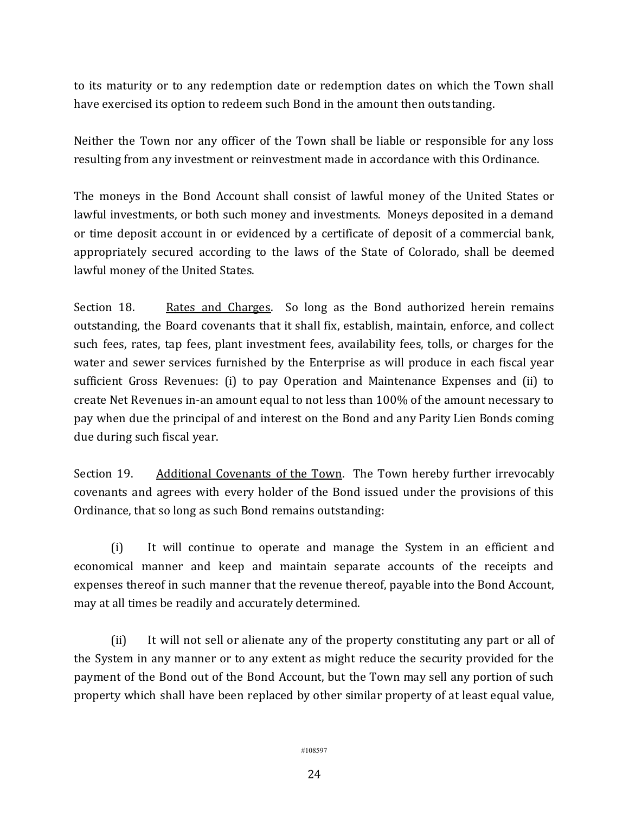to its maturity or to any redemption date or redemption dates on which the Town shall have exercised its option to redeem such Bond in the amount then outstanding.

Neither the Town nor any officer of the Town shall be liable or responsible for any loss resulting from any investment or reinvestment made in accordance with this Ordinance.

The moneys in the Bond Account shall consist of lawful money of the United States or lawful investments, or both such money and investments. Moneys deposited in a demand or time deposit account in or evidenced by a certificate of deposit of a commercial bank, appropriately secured according to the laws of the State of Colorado, shall be deemed lawful money of the United States.

Section 18. Rates and Charges. So long as the Bond authorized herein remains outstanding, the Board covenants that it shall fix, establish, maintain, enforce, and collect such fees, rates, tap fees, plant investment fees, availability fees, tolls, or charges for the water and sewer services furnished by the Enterprise as will produce in each fiscal year sufficient Gross Revenues: (i) to pay Operation and Maintenance Expenses and (ii) to create Net Revenues in-an amount equal to not less than 100% of the amount necessary to pay when due the principal of and interest on the Bond and any Parity Lien Bonds coming due during such fiscal year.

Section 19. Additional Covenants of the Town. The Town hereby further irrevocably covenants and agrees with every holder of the Bond issued under the provisions of this Ordinance, that so long as such Bond remains outstanding:

(i) It will continue to operate and manage the System in an efficient and economical manner and keep and maintain separate accounts of the receipts and expenses thereof in such manner that the revenue thereof, payable into the Bond Account, may at all times be readily and accurately determined.

(ii) It will not sell or alienate any of the property constituting any part or all of the System in any manner or to any extent as might reduce the security provided for the payment of the Bond out of the Bond Account, but the Town may sell any portion of such property which shall have been replaced by other similar property of at least equal value,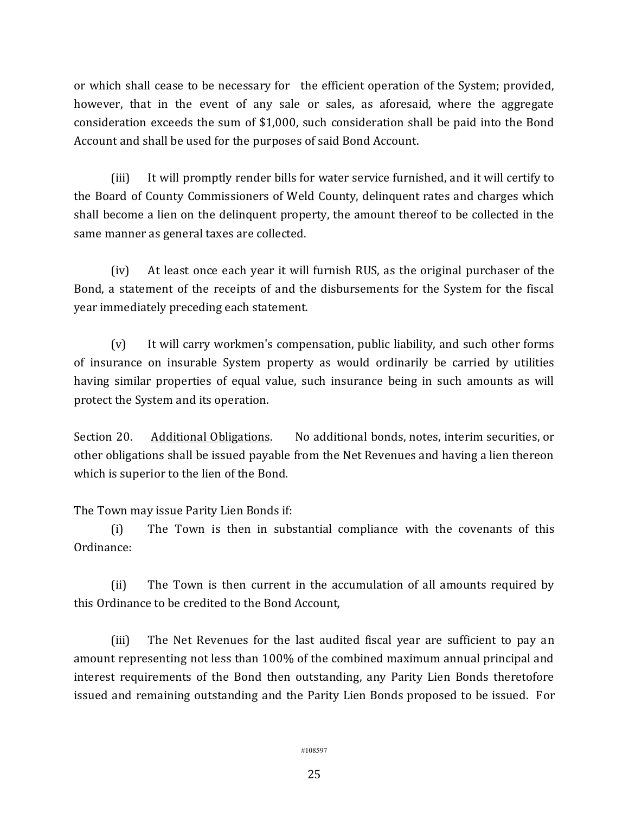or which shall cease to be necessary for the efficient operation of the System; provided, however, that in the event of any sale or sales, as aforesaid, where the aggregate consideration exceeds the sum of \$1,000, such consideration shall be paid into the Bond Account and shall be used for the purposes of said Bond Account.

(iii) It will promptly render bills for water service furnished, and it will certify to the Board of County Commissioners of Weld County, delinquent rates and charges which shall become a lien on the delinquent property, the amount thereof to be collected in the same manner as general taxes are collected.

(iv) At least once each year it will furnish RUS, as the original purchaser of the Bond, a statement of the receipts of and the disbursements for the System for the fiscal year immediately preceding each statement.

(v) It will carry workmen's compensation, public liability, and such other forms of insurance on insurable System property as would ordinarily be carried by utilities having similar properties of equal value, such insurance being in such amounts as will protect the System and its operation.

Section 20. Additional Obligations. No additional bonds, notes, interim securities, or other obligations shall be issued payable from the Net Revenues and having a lien thereon which is superior to the lien of the Bond.

The Town may issue Parity Lien Bonds if:

(i) The Town is then in substantial compliance with the covenants of this Ordinance:

(ii) The Town is then current in the accumulation of all amounts required by this Ordinance to be credited to the Bond Account,

(iii) The Net Revenues for the last audited fiscal year are sufficient to pay an amount representing not less than 100% of the combined maximum annual principal and interest requirements of the Bond then outstanding, any Parity Lien Bonds theretofore issued and remaining outstanding and the Parity Lien Bonds proposed to be issued. For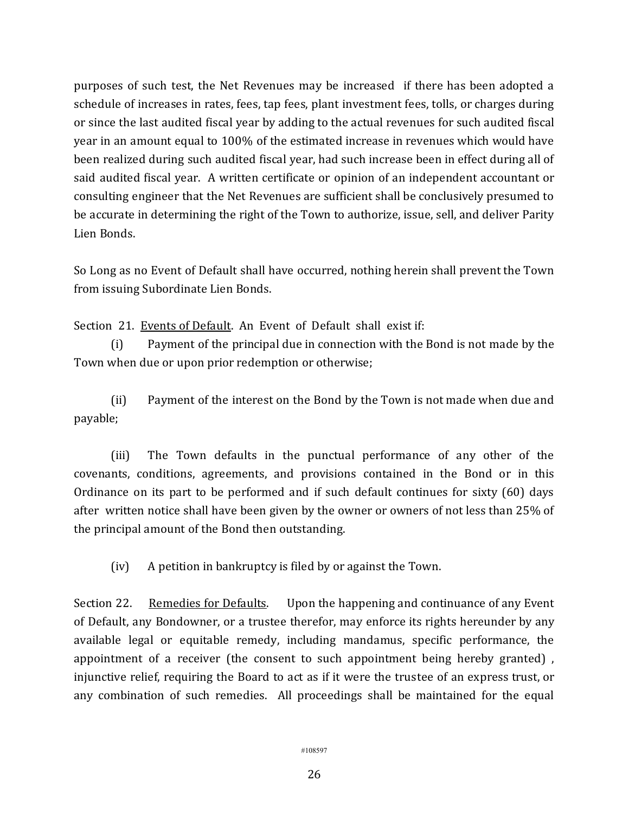purposes of such test, the Net Revenues may be increased if there has been adopted a schedule of increases in rates, fees, tap fees, plant investment fees, tolls, or charges during or since the last audited fiscal year by adding to the actual revenues for such audited fiscal year in an amount equal to 100% of the estimated increase in revenues which would have been realized during such audited fiscal year, had such increase been in effect during all of said audited fiscal year. A written certificate or opinion of an independent accountant or consulting engineer that the Net Revenues are sufficient shall be conclusively presumed to be accurate in determining the right of the Town to authorize, issue, sell, and deliver Parity Lien Bonds.

So Long as no Event of Default shall have occurred, nothing herein shall prevent the Town from issuing Subordinate Lien Bonds.

Section 21. Events of Default. An Event of Default shall exist if:

(i) Payment of the principal due in connection with the Bond is not made by the Town when due or upon prior redemption or otherwise;

(ii) Payment of the interest on the Bond by the Town is not made when due and payable;

(iii) The Town defaults in the punctual performance of any other of the covenants, conditions, agreements, and provisions contained in the Bond or in this Ordinance on its part to be performed and if such default continues for sixty (60) days after written notice shall have been given by the owner or owners of not less than 25% of the principal amount of the Bond then outstanding.

(iv) A petition in bankruptcy is filed by or against the Town.

Section 22. Remedies for Defaults. Upon the happening and continuance of any Event of Default, any Bondowner, or a trustee therefor, may enforce its rights hereunder by any available legal or equitable remedy, including mandamus, specific performance, the appointment of a receiver (the consent to such appointment being hereby granted) , injunctive relief, requiring the Board to act as if it were the trustee of an express trust, or any combination of such remedies. All proceedings shall be maintained for the equal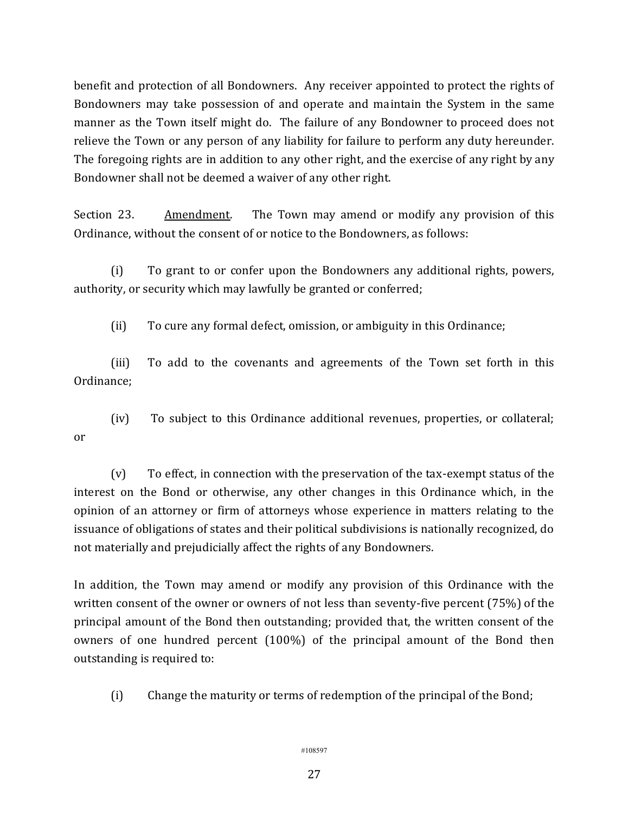benefit and protection of all Bondowners. Any receiver appointed to protect the rights of Bondowners may take possession of and operate and maintain the System in the same manner as the Town itself might do. The failure of any Bondowner to proceed does not relieve the Town or any person of any liability for failure to perform any duty hereunder. The foregoing rights are in addition to any other right, and the exercise of any right by any Bondowner shall not be deemed a waiver of any other right.

Section 23. Amendment. The Town may amend or modify any provision of this Ordinance, without the consent of or notice to the Bondowners, as follows:

(i) To grant to or confer upon the Bondowners any additional rights, powers, authority, or security which may lawfully be granted or conferred;

(ii) To cure any formal defect, omission, or ambiguity in this Ordinance;

(iii) To add to the covenants and agreements of the Town set forth in this Ordinance;

(iv) To subject to this Ordinance additional revenues, properties, or collateral; or

(v) To effect, in connection with the preservation of the tax-exempt status of the interest on the Bond or otherwise, any other changes in this Ordinance which, in the opinion of an attorney or firm of attorneys whose experience in matters relating to the issuance of obligations of states and their political subdivisions is nationally recognized, do not materially and prejudicially affect the rights of any Bondowners.

In addition, the Town may amend or modify any provision of this Ordinance with the written consent of the owner or owners of not less than seventy-five percent (75%) of the principal amount of the Bond then outstanding; provided that, the written consent of the owners of one hundred percent (100%) of the principal amount of the Bond then outstanding is required to:

(i) Change the maturity or terms of redemption of the principal of the Bond;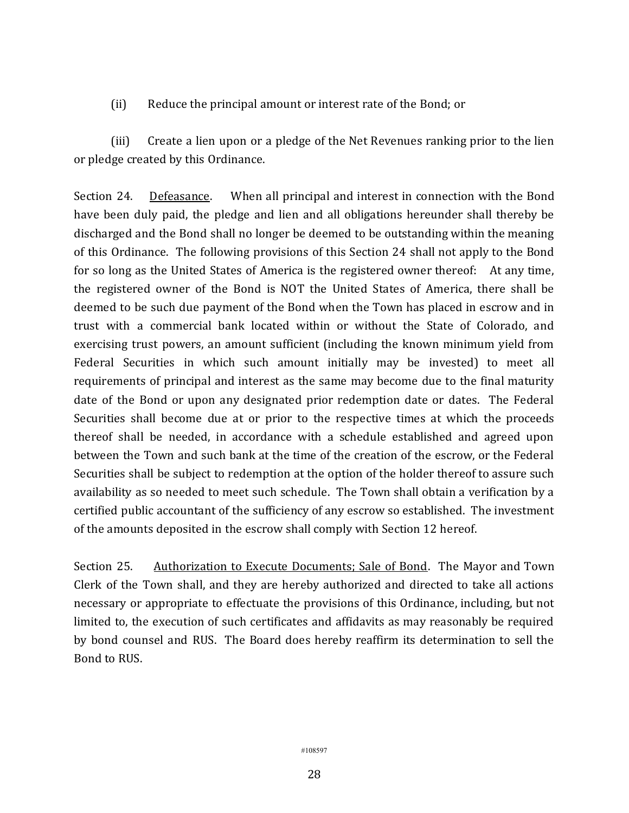(ii) Reduce the principal amount or interest rate of the Bond; or

(iii) Create a lien upon or a pledge of the Net Revenues ranking prior to the lien or pledge created by this Ordinance.

Section 24. Defeasance. When all principal and interest in connection with the Bond have been duly paid, the pledge and lien and all obligations hereunder shall thereby be discharged and the Bond shall no longer be deemed to be outstanding within the meaning of this Ordinance. The following provisions of this Section 24 shall not apply to the Bond for so long as the United States of America is the registered owner thereof: At any time, the registered owner of the Bond is NOT the United States of America, there shall be deemed to be such due payment of the Bond when the Town has placed in escrow and in trust with a commercial bank located within or without the State of Colorado, and exercising trust powers, an amount sufficient (including the known minimum yield from Federal Securities in which such amount initially may be invested) to meet all requirements of principal and interest as the same may become due to the final maturity date of the Bond or upon any designated prior redemption date or dates. The Federal Securities shall become due at or prior to the respective times at which the proceeds thereof shall be needed, in accordance with a schedule established and agreed upon between the Town and such bank at the time of the creation of the escrow, or the Federal Securities shall be subject to redemption at the option of the holder thereof to assure such availability as so needed to meet such schedule. The Town shall obtain a verification by a certified public accountant of the sufficiency of any escrow so established. The investment of the amounts deposited in the escrow shall comply with Section 12 hereof.

Section 25. Authorization to Execute Documents; Sale of Bond. The Mayor and Town Clerk of the Town shall, and they are hereby authorized and directed to take all actions necessary or appropriate to effectuate the provisions of this Ordinance, including, but not limited to, the execution of such certificates and affidavits as may reasonably be required by bond counsel and RUS. The Board does hereby reaffirm its determination to sell the Bond to RUS.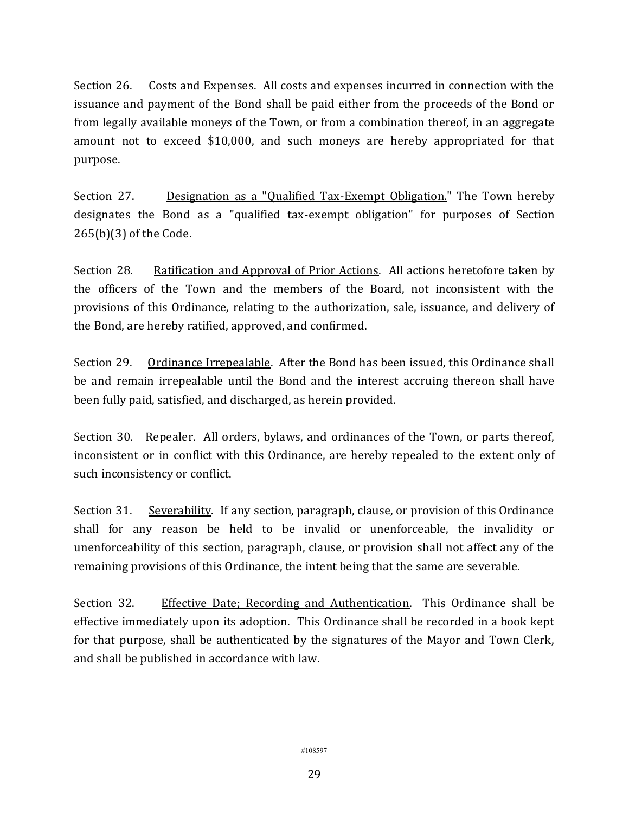Section 26. Costs and Expenses. All costs and expenses incurred in connection with the issuance and payment of the Bond shall be paid either from the proceeds of the Bond or from legally available moneys of the Town, or from a combination thereof, in an aggregate amount not to exceed \$10,000, and such moneys are hereby appropriated for that purpose.

Section 27. Designation as a "Qualified Tax-Exempt Obligation." The Town hereby designates the Bond as a "qualified tax-exempt obligation" for purposes of Section 265(b)(3) of the Code.

Section 28. Ratification and Approval of Prior Actions. All actions heretofore taken by the officers of the Town and the members of the Board, not inconsistent with the provisions of this Ordinance, relating to the authorization, sale, issuance, and delivery of the Bond, are hereby ratified, approved, and confirmed.

Section 29. Ordinance Irrepealable. After the Bond has been issued, this Ordinance shall be and remain irrepealable until the Bond and the interest accruing thereon shall have been fully paid, satisfied, and discharged, as herein provided.

Section 30. Repealer. All orders, bylaws, and ordinances of the Town, or parts thereof, inconsistent or in conflict with this Ordinance, are hereby repealed to the extent only of such inconsistency or conflict.

Section 31. Severability. If any section, paragraph, clause, or provision of this Ordinance shall for any reason be held to be invalid or unenforceable, the invalidity or unenforceability of this section, paragraph, clause, or provision shall not affect any of the remaining provisions of this Ordinance, the intent being that the same are severable.

Section 32. Effective Date; Recording and Authentication. This Ordinance shall be effective immediately upon its adoption. This Ordinance shall be recorded in a book kept for that purpose, shall be authenticated by the signatures of the Mayor and Town Clerk, and shall be published in accordance with law.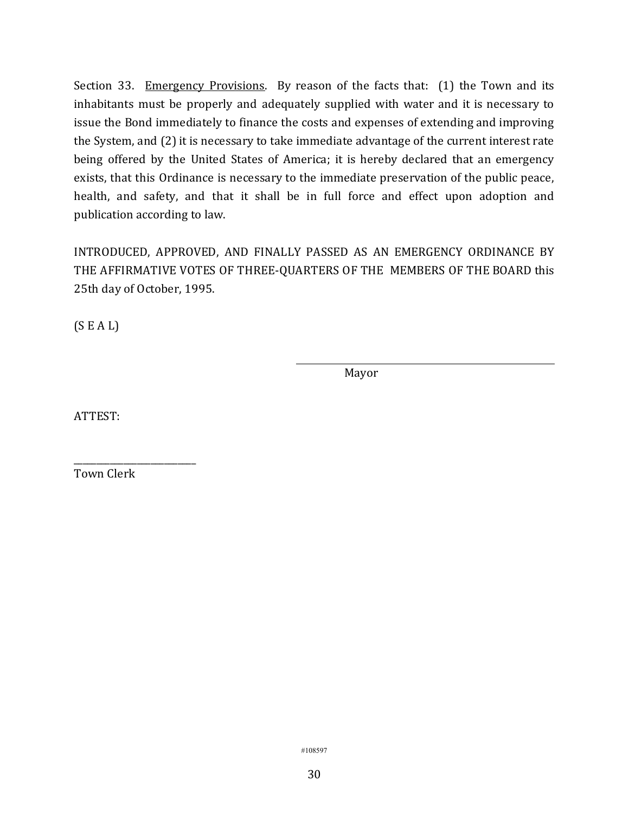Section 33. Emergency Provisions. By reason of the facts that: (1) the Town and its inhabitants must be properly and adequately supplied with water and it is necessary to issue the Bond immediately to finance the costs and expenses of extending and improving the System, and (2) it is necessary to take immediate advantage of the current interest rate being offered by the United States of America; it is hereby declared that an emergency exists, that this Ordinance is necessary to the immediate preservation of the public peace, health, and safety, and that it shall be in full force and effect upon adoption and publication according to law.

INTRODUCED, APPROVED, AND FINALLY PASSED AS AN EMERGENCY ORDINANCE BY THE AFFIRMATIVE VOTES OF THREE-QUARTERS OF THE MEMBERS OF THE BOARD this 25th day of October, 1995.

 $(S E A L)$ 

Mayor

ATTEST:

Town Clerk

\_\_\_\_\_\_\_\_\_\_\_\_\_\_\_\_\_\_\_\_\_\_\_\_\_\_\_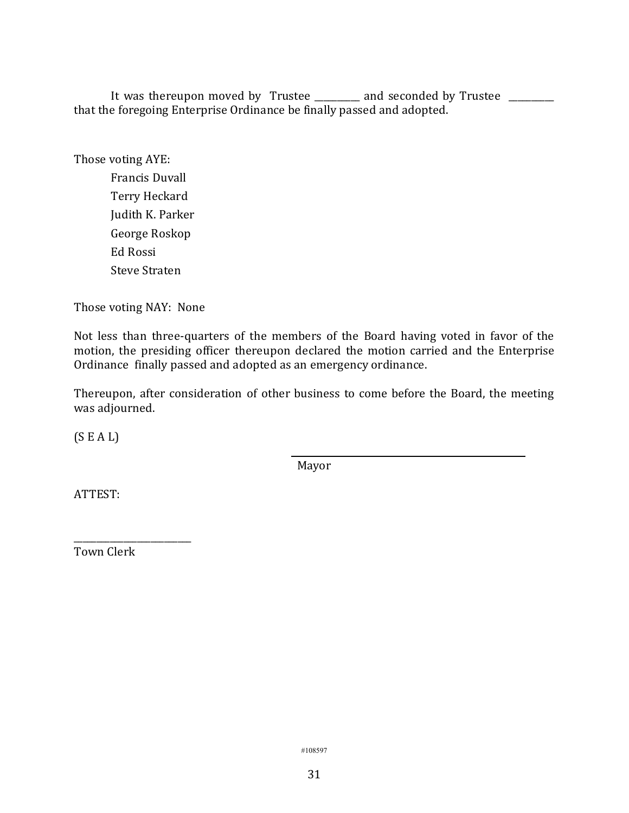It was thereupon moved by Trustee \_\_\_\_\_\_\_\_ and seconded by Trustee \_\_\_\_\_\_\_\_ that the foregoing Enterprise Ordinance be finally passed and adopted.

Those voting AYE: Francis Duvall Terry Heckard Judith K. Parker George Roskop Ed Rossi Steve Straten

Those voting NAY: None

Not less than three-quarters of the members of the Board having voted in favor of the motion, the presiding officer thereupon declared the motion carried and the Enterprise Ordinance finally passed and adopted as an emergency ordinance.

Thereupon, after consideration of other business to come before the Board, the meeting was adjourned.

(S E A L)

Mayor

ATTEST:

Town Clerk

\_\_\_\_\_\_\_\_\_\_\_\_\_\_\_\_\_\_\_\_\_\_\_\_\_\_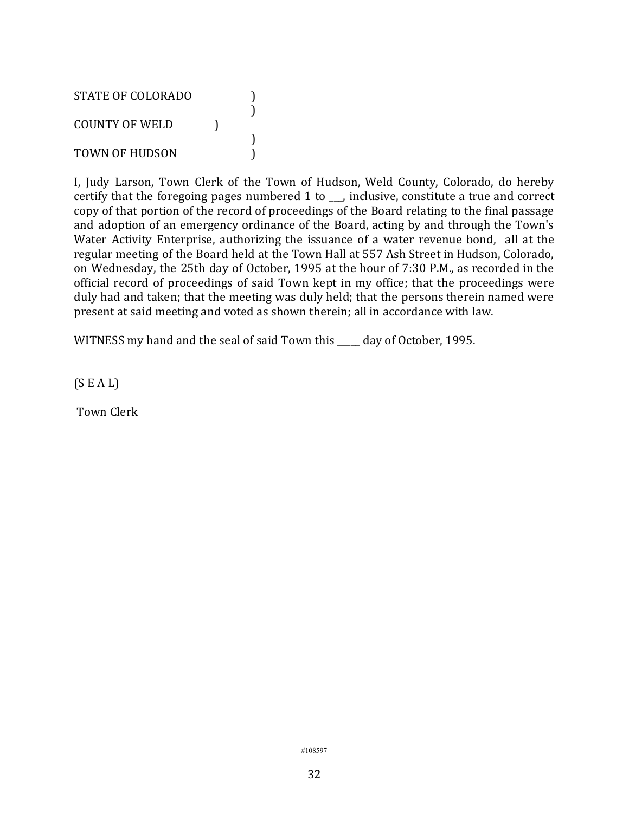STATE OF COLORADO (1) ) COUNTY OF WELD ) ) TOWN OF HUDSON

I, Judy Larson, Town Clerk of the Town of Hudson, Weld County, Colorado, do hereby certify that the foregoing pages numbered 1 to \_\_\_, inclusive, constitute a true and correct copy of that portion of the record of proceedings of the Board relating to the final passage and adoption of an emergency ordinance of the Board, acting by and through the Town's Water Activity Enterprise, authorizing the issuance of a water revenue bond, all at the regular meeting of the Board held at the Town Hall at 557 Ash Street in Hudson, Colorado, on Wednesday, the 25th day of October, 1995 at the hour of 7:30 P.M., as recorded in the official record of proceedings of said Town kept in my office; that the proceedings were duly had and taken; that the meeting was duly held; that the persons therein named were present at said meeting and voted as shown therein; all in accordance with law.

WITNESS my hand and the seal of said Town this day of October, 1995.

(S E A L)

Town Clerk